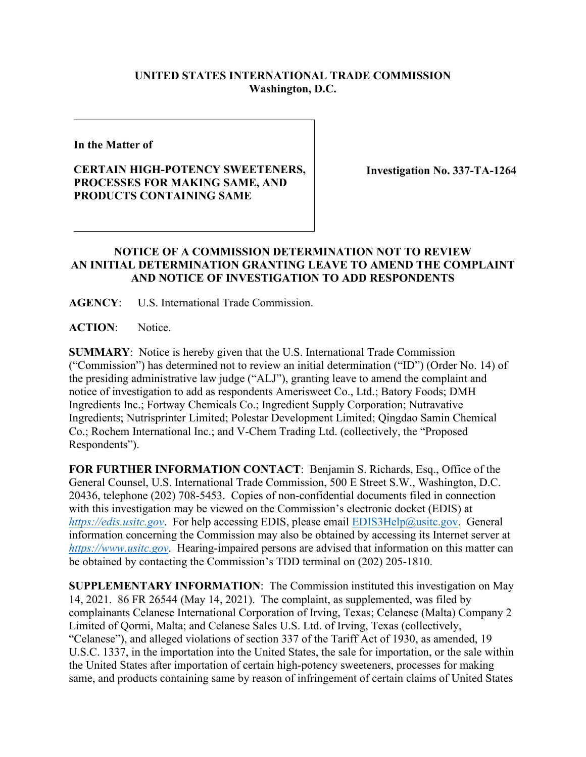## **UNITED STATES INTERNATIONAL TRADE COMMISSION Washington, D.C.**

**In the Matter of**

## **CERTAIN HIGH-POTENCY SWEETENERS, PROCESSES FOR MAKING SAME, AND PRODUCTS CONTAINING SAME**

**Investigation No. 337-TA-1264**

## **NOTICE OF A COMMISSION DETERMINATION NOT TO REVIEW AN INITIAL DETERMINATION GRANTING LEAVE TO AMEND THE COMPLAINT AND NOTICE OF INVESTIGATION TO ADD RESPONDENTS**

**AGENCY**: U.S. International Trade Commission.

**ACTION**: Notice.

**SUMMARY**: Notice is hereby given that the U.S. International Trade Commission ("Commission") has determined not to review an initial determination ("ID") (Order No. 14) of the presiding administrative law judge ("ALJ"), granting leave to amend the complaint and notice of investigation to add as respondents Amerisweet Co., Ltd.; Batory Foods; DMH Ingredients Inc.; Fortway Chemicals Co.; Ingredient Supply Corporation; Nutravative Ingredients; Nutrisprinter Limited; Polestar Development Limited; Qingdao Samin Chemical Co.; Rochem International Inc.; and V-Chem Trading Ltd. (collectively, the "Proposed Respondents").

**FOR FURTHER INFORMATION CONTACT**: Benjamin S. Richards, Esq., Office of the General Counsel, U.S. International Trade Commission, 500 E Street S.W., Washington, D.C. 20436, telephone (202) 708-5453. Copies of non-confidential documents filed in connection with this investigation may be viewed on the Commission's electronic docket (EDIS) at *[https://edis.usitc.gov](https://edis.usitc.gov/)*. For help accessing EDIS, please email [EDIS3Help@usitc.gov.](mailto:EDIS3Help@usitc.gov) General information concerning the Commission may also be obtained by accessing its Internet server at *[https://www.usitc.gov](https://www.usitc.gov/)*. Hearing-impaired persons are advised that information on this matter can be obtained by contacting the Commission's TDD terminal on (202) 205-1810.

**SUPPLEMENTARY INFORMATION**: The Commission instituted this investigation on May 14, 2021. 86 FR 26544 (May 14, 2021). The complaint, as supplemented, was filed by complainants Celanese International Corporation of Irving, Texas; Celanese (Malta) Company 2 Limited of Qormi, Malta; and Celanese Sales U.S. Ltd. of Irving, Texas (collectively, "Celanese"), and alleged violations of section 337 of the Tariff Act of 1930, as amended, 19 U.S.C. 1337, in the importation into the United States, the sale for importation, or the sale within the United States after importation of certain high-potency sweeteners, processes for making same, and products containing same by reason of infringement of certain claims of United States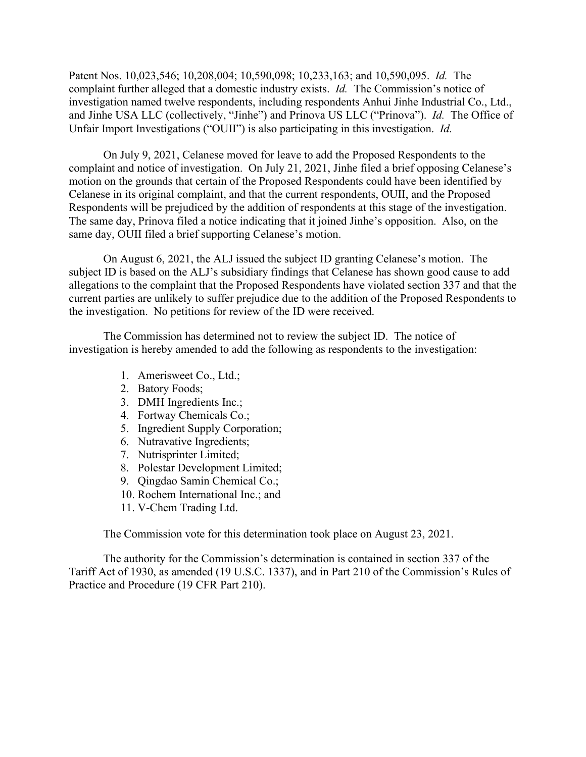Patent Nos. 10,023,546; 10,208,004; 10,590,098; 10,233,163; and 10,590,095. *Id.* The complaint further alleged that a domestic industry exists. *Id.* The Commission's notice of investigation named twelve respondents, including respondents Anhui Jinhe Industrial Co., Ltd., and Jinhe USA LLC (collectively, "Jinhe") and Prinova US LLC ("Prinova"). *Id.* The Office of Unfair Import Investigations ("OUII") is also participating in this investigation. *Id.*

On July 9, 2021, Celanese moved for leave to add the Proposed Respondents to the complaint and notice of investigation. On July 21, 2021, Jinhe filed a brief opposing Celanese's motion on the grounds that certain of the Proposed Respondents could have been identified by Celanese in its original complaint, and that the current respondents, OUII, and the Proposed Respondents will be prejudiced by the addition of respondents at this stage of the investigation. The same day, Prinova filed a notice indicating that it joined Jinhe's opposition. Also, on the same day, OUII filed a brief supporting Celanese's motion.

On August 6, 2021, the ALJ issued the subject ID granting Celanese's motion. The subject ID is based on the ALJ's subsidiary findings that Celanese has shown good cause to add allegations to the complaint that the Proposed Respondents have violated section 337 and that the current parties are unlikely to suffer prejudice due to the addition of the Proposed Respondents to the investigation. No petitions for review of the ID were received.

The Commission has determined not to review the subject ID. The notice of investigation is hereby amended to add the following as respondents to the investigation:

- 1. Amerisweet Co., Ltd.;
- 2. Batory Foods;
- 3. DMH Ingredients Inc.;
- 4. Fortway Chemicals Co.;
- 5. Ingredient Supply Corporation;
- 6. Nutravative Ingredients;
- 7. Nutrisprinter Limited;
- 8. Polestar Development Limited;
- 9. Qingdao Samin Chemical Co.;
- 10. Rochem International Inc.; and
- 11. V-Chem Trading Ltd.

The Commission vote for this determination took place on August 23, 2021.

The authority for the Commission's determination is contained in section 337 of the Tariff Act of 1930, as amended (19 U.S.C. 1337), and in Part 210 of the Commission's Rules of Practice and Procedure (19 CFR Part 210).